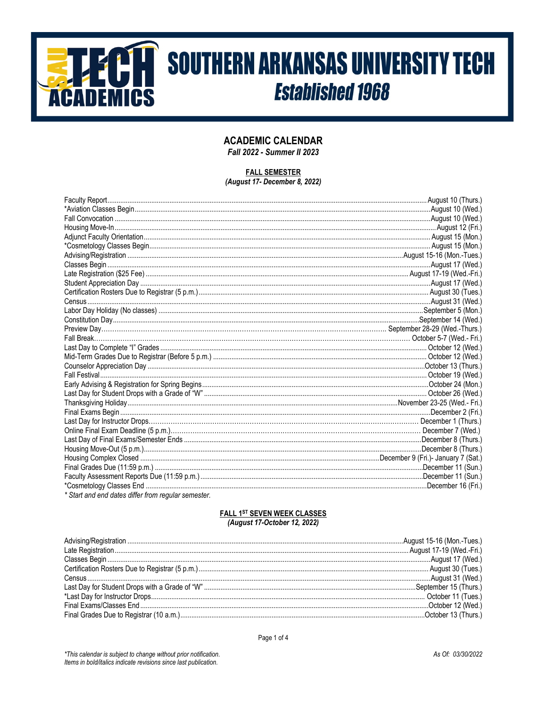# **SOUTHERN ARKANSAS UNIVERSITY TECH Established 1968**

## **ACADEMIC CALENDAR**

Fall 2022 - Summer II 2023

## **FALL SEMESTER**

(August 17- December 8, 2022)

|                                                     | December 8 (Thurs.). |
|-----------------------------------------------------|----------------------|
|                                                     |                      |
|                                                     |                      |
|                                                     |                      |
|                                                     |                      |
| * Start and end dates differ from regular semester. |                      |

### FALL 1ST SEVEN WEEK CLASSES (August 17-October 12, 2022)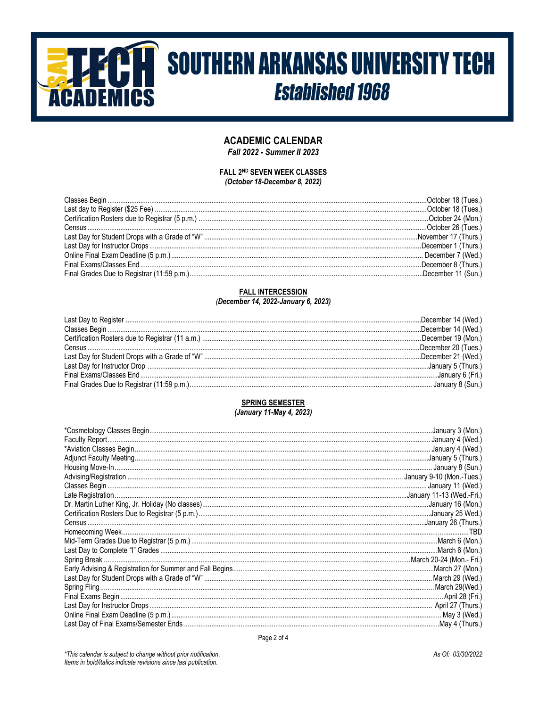

## **ACADEMIC CALENDAR**

Fall 2022 - Summer II 2023

### FALL 2ND SEVEN WEEK CLASSES (October 18-December 8, 2022)

## **FALL INTERCESSION**

### (December 14, 2022-January 6, 2023)

### **SPRING SEMESTER** (January 11-May 4, 2023)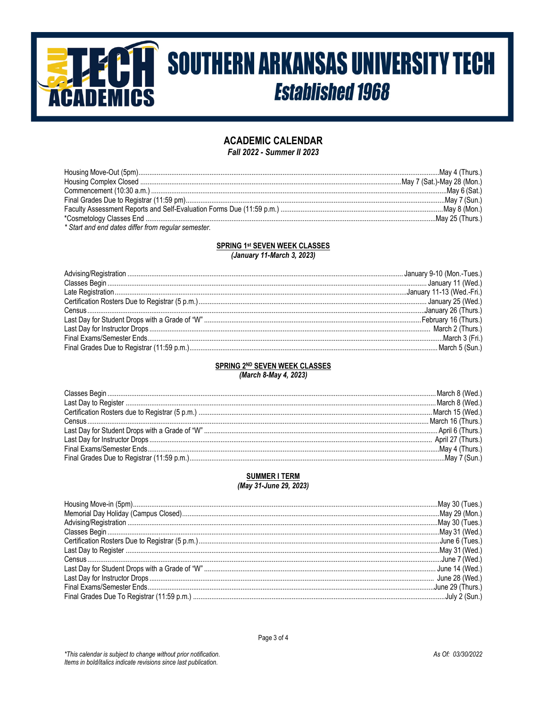# **SOUTHERN ARKANSAS UNIVERSITY TECH Established 1968**

### **ACADEMIC CALENDAR** Fall 2022 - Summer II 2023

\* Start and end dates differ from regular semester.

## **SPRING 1st SEVEN WEEK CLASSES**

(January 11-March 3, 2023)

### **SPRING 2ND SEVEN WEEK CLASSES** (March 8-May 4, 2023)

## **SUMMER I TERM**

## (May 31-June 29, 2023)